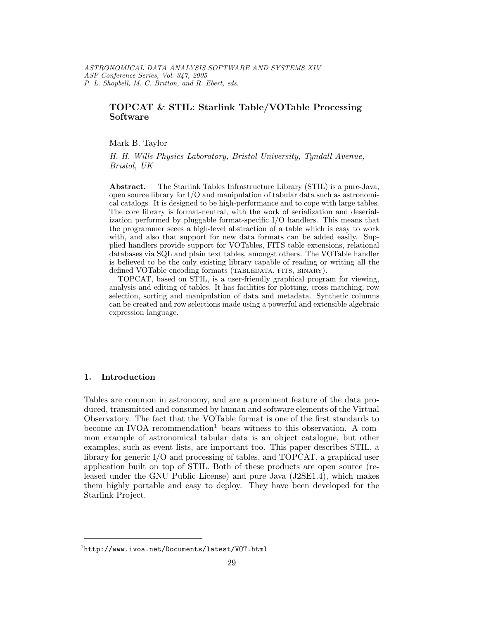# TOPCAT & STIL: Starlink Table/VOTable Processing Software

Mark B. Taylor

H. H. Wills Physics Laboratory, Bristol University, Tyndall Avenue, Bristol, UK

Abstract. The Starlink Tables Infrastructure Library (STIL) is a pure-Java, open source library for I/O and manipulation of tabular data such as astronomical catalogs. It is designed to be high-performance and to cope with large tables. The core library is format-neutral, with the work of serialization and deserialization performed by pluggable format-specific I/O handlers. This means that the programmer seees a high-level abstraction of a table which is easy to work with, and also that support for new data formats can be added easily. Supplied handlers provide support for VOTables, FITS table extensions, relational databases via SQL and plain text tables, amongst others. The VOTable handler is believed to be the only existing library capable of reading or writing all the defined VOTable encoding formats (TABLEDATA, FITS, BINARY).

TOPCAT, based on STIL, is a user-friendly graphical program for viewing, analysis and editing of tables. It has facilities for plotting, cross matching, row selection, sorting and manipulation of data and metadata. Synthetic columns can be created and row selections made using a powerful and extensible algebraic expression language.

## 1. Introduction

Tables are common in astronomy, and are a prominent feature of the data produced, transmitted and consumed by human and software elements of the Virtual Observatory. The fact that the VOTable format is one of the first standards to become an IVOA recommendation<sup>1</sup> bears witness to this observation. A common example of astronomical tabular data is an object catalogue, but other examples, such as event lists, are important too. This paper describes STIL, a library for generic I/O and processing of tables, and TOPCAT, a graphical user application built on top of STIL. Both of these products are open source (released under the GNU Public License) and pure Java (J2SE1.4), which makes them highly portable and easy to deploy. They have been developed for the Starlink Project.

 $^1$ http://www.ivoa.net/Documents/latest/VOT.html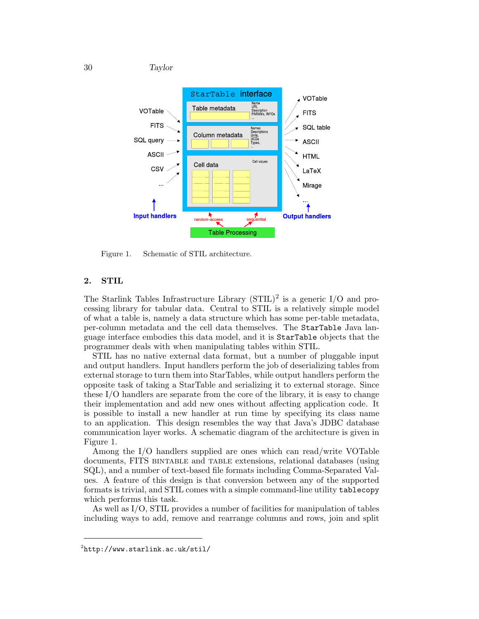

Figure 1. Schematic of STIL architecture.

## 2. STIL

The Starlink Tables Infrastructure Library  $(STIL)^2$  is a generic I/O and processing library for tabular data. Central to STIL is a relatively simple model of what a table is, namely a data structure which has some per-table metadata, per-column metadata and the cell data themselves. The StarTable Java language interface embodies this data model, and it is StarTable objects that the programmer deals with when manipulating tables within STIL.

STIL has no native external data format, but a number of pluggable input and output handlers. Input handlers perform the job of deserializing tables from external storage to turn them into StarTables, while output handlers perform the opposite task of taking a StarTable and serializing it to external storage. Since these  $I/O$  handlers are separate from the core of the library, it is easy to change their implementation and add new ones without affecting application code. It is possible to install a new handler at run time by specifying its class name to an application. This design resembles the way that Java's JDBC database communication layer works. A schematic diagram of the architecture is given in Figure 1.

Among the I/O handlers supplied are ones which can read/write VOTable documents, FITS bintable and table extensions, relational databases (using SQL), and a number of text-based file formats including Comma-Separated Values. A feature of this design is that conversion between any of the supported formats is trivial, and STIL comes with a simple command-line utility tablecopy which performs this task.

As well as I/O, STIL provides a number of facilities for manipulation of tables including ways to add, remove and rearrange columns and rows, join and split

 $^{2}$ http://www.starlink.ac.uk/stil/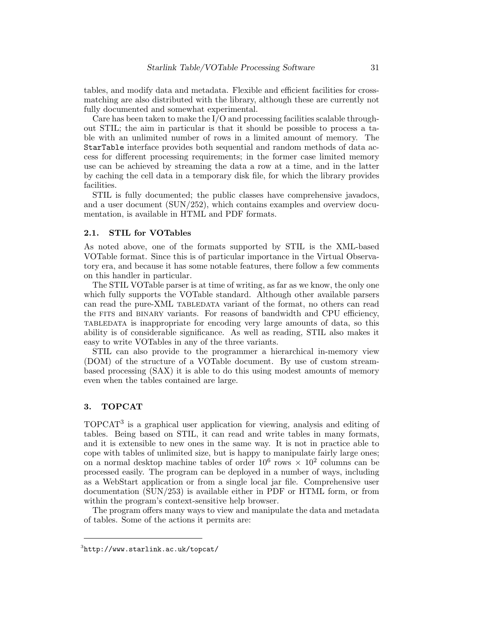tables, and modify data and metadata. Flexible and efficient facilities for crossmatching are also distributed with the library, although these are currently not fully documented and somewhat experimental.

Care has been taken to make the  $I/O$  and processing facilities scalable throughout STIL; the aim in particular is that it should be possible to process a table with an unlimited number of rows in a limited amount of memory. The StarTable interface provides both sequential and random methods of data access for different processing requirements; in the former case limited memory use can be achieved by streaming the data a row at a time, and in the latter by caching the cell data in a temporary disk file, for which the library provides facilities.

STIL is fully documented; the public classes have comprehensive javadocs, and a user document (SUN/252), which contains examples and overview documentation, is available in HTML and PDF formats.

### 2.1. STIL for VOTables

As noted above, one of the formats supported by STIL is the XML-based VOTable format. Since this is of particular importance in the Virtual Observatory era, and because it has some notable features, there follow a few comments on this handler in particular.

The STIL VOTable parser is at time of writing, as far as we know, the only one which fully supports the VOTable standard. Although other available parsers can read the pure-XML tabledata variant of the format, no others can read the fits and binary variants. For reasons of bandwidth and CPU efficiency, tabledata is inappropriate for encoding very large amounts of data, so this ability is of considerable significance. As well as reading, STIL also makes it easy to write VOTables in any of the three variants.

STIL can also provide to the programmer a hierarchical in-memory view (DOM) of the structure of a VOTable document. By use of custom streambased processing (SAX) it is able to do this using modest amounts of memory even when the tables contained are large.

## 3. TOPCAT

TOPCAT 3 is a graphical user application for viewing, analysis and editing of tables. Being based on STIL, it can read and write tables in many formats, and it is extensible to new ones in the same way. It is not in practice able to cope with tables of unlimited size, but is happy to manipulate fairly large ones; on a normal desktop machine tables of order  $10^6$  rows  $\times 10^2$  columns can be processed easily. The program can be deployed in a number of ways, including as a WebStart application or from a single local jar file. Comprehensive user documentation (SUN/253) is available either in PDF or HTML form, or from within the program's context-sensitive help browser.

The program offers many ways to view and manipulate the data and metadata of tables. Some of the actions it permits are:

 ${}^{3}$ http://www.starlink.ac.uk/topcat/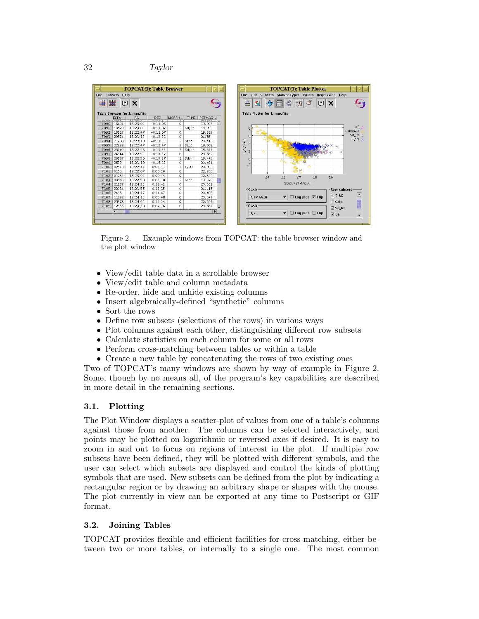

Figure 2. Example windows from TOPCAT: the table browser window and the plot window

- View/edit table data in a scrollable browser
- View/edit table and column metadata
- Re-order, hide and unhide existing columns
- Insert algebraically-defined "synthetic" columns
- Sort the rows
- Define row subsets (selections of the rows) in various ways
- Plot columns against each other, distinguishing different row subsets
- Calculate statistics on each column for some or all rows
- Perform cross-matching between tables or within a table
- Create a new table by concatenating the rows of two existing ones

Two of TOPCAT's many windows are shown by way of example in Figure 2. Some, though by no means all, of the program's key capabilities are described in more detail in the remaining sections.

## 3.1. Plotting

The Plot Window displays a scatter-plot of values from one of a table's columns against those from another. The columns can be selected interactively, and points may be plotted on logarithmic or reversed axes if desired. It is easy to zoom in and out to focus on regions of interest in the plot. If multiple row subsets have been defined, they will be plotted with different symbols, and the user can select which subsets are displayed and control the kinds of plotting symbols that are used. New subsets can be defined from the plot by indicating a rectangular region or by drawing an arbitrary shape or shapes with the mouse. The plot currently in view can be exported at any time to Postscript or GIF format.

## 3.2. Joining Tables

TOPCAT provides flexible and efficient facilities for cross-matching, either between two or more tables, or internally to a single one. The most common